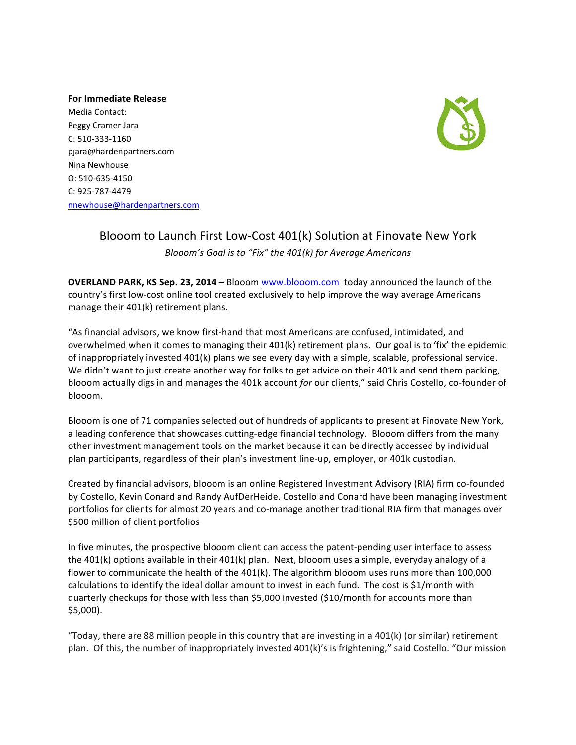**For Immediate Release** Media Contact: Peggy Cramer Jara C: 510-333-1160 pjara@hardenpartners.com Nina Newhouse O: 510-635-4150 C: 925-787-4479 nnewhouse@hardenpartners.com



## Blooom to Launch First Low-Cost 401(k) Solution at Finovate New York *Blooom's Goal is to "Fix" the 401(k) for Average Americans*

**OVERLAND PARK, KS Sep. 23, 2014 – Blooom www.blooom.com today announced the launch of the** country's first low-cost online tool created exclusively to help improve the way average Americans manage their  $401(k)$  retirement plans.

"As financial advisors, we know first-hand that most Americans are confused, intimidated, and overwhelmed when it comes to managing their  $401(k)$  retirement plans. Our goal is to 'fix' the epidemic of inappropriately invested 401(k) plans we see every day with a simple, scalable, professional service. We didn't want to just create another way for folks to get advice on their 401k and send them packing, blooom actually digs in and manages the 401k account *for* our clients," said Chris Costello, co-founder of blooom.

Blooom is one of 71 companies selected out of hundreds of applicants to present at Finovate New York, a leading conference that showcases cutting-edge financial technology. Blooom differs from the many other investment management tools on the market because it can be directly accessed by individual plan participants, regardless of their plan's investment line-up, employer, or 401k custodian.

Created by financial advisors, blooom is an online Registered Investment Advisory (RIA) firm co-founded by Costello, Kevin Conard and Randy AufDerHeide. Costello and Conard have been managing investment portfolios for clients for almost 20 years and co-manage another traditional RIA firm that manages over \$500 million of client portfolios

In five minutes, the prospective blooom client can access the patent-pending user interface to assess the 401(k) options available in their 401(k) plan. Next, blooom uses a simple, everyday analogy of a flower to communicate the health of the 401(k). The algorithm blooom uses runs more than 100,000 calculations to identify the ideal dollar amount to invest in each fund. The cost is \$1/month with quarterly checkups for those with less than \$5,000 invested  $$10/month$  for accounts more than \$5,000). 

"Today, there are 88 million people in this country that are investing in a  $401(k)$  (or similar) retirement plan. Of this, the number of inappropriately invested 401(k)'s is frightening," said Costello. "Our mission